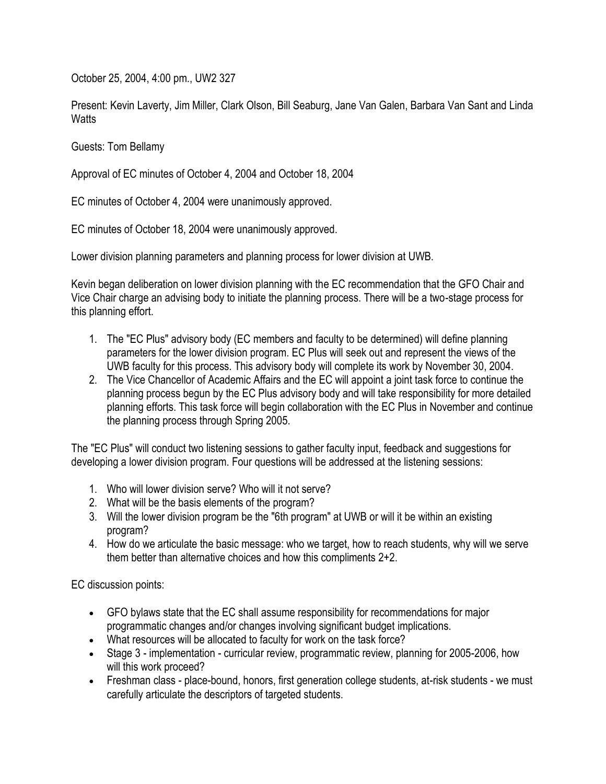October 25, 2004, 4:00 pm., UW2 327

Present: Kevin Laverty, Jim Miller, Clark Olson, Bill Seaburg, Jane Van Galen, Barbara Van Sant and Linda **Watts** 

Guests: Tom Bellamy

Approval of EC minutes of October 4, 2004 and October 18, 2004

EC minutes of October 4, 2004 were unanimously approved.

EC minutes of October 18, 2004 were unanimously approved.

Lower division planning parameters and planning process for lower division at UWB.

Kevin began deliberation on lower division planning with the EC recommendation that the GFO Chair and Vice Chair charge an advising body to initiate the planning process. There will be a two-stage process for this planning effort.

- 1. The "EC Plus" advisory body (EC members and faculty to be determined) will define planning parameters for the lower division program. EC Plus will seek out and represent the views of the UWB faculty for this process. This advisory body will complete its work by November 30, 2004.
- 2. The Vice Chancellor of Academic Affairs and the EC will appoint a joint task force to continue the planning process begun by the EC Plus advisory body and will take responsibility for more detailed planning efforts. This task force will begin collaboration with the EC Plus in November and continue the planning process through Spring 2005.

The "EC Plus" will conduct two listening sessions to gather faculty input, feedback and suggestions for developing a lower division program. Four questions will be addressed at the listening sessions:

- 1. Who will lower division serve? Who will it not serve?
- 2. What will be the basis elements of the program?
- 3. Will the lower division program be the "6th program" at UWB or will it be within an existing program?
- 4. How do we articulate the basic message: who we target, how to reach students, why will we serve them better than alternative choices and how this compliments 2+2.

EC discussion points:

- GFO bylaws state that the EC shall assume responsibility for recommendations for major programmatic changes and/or changes involving significant budget implications.
- What resources will be allocated to faculty for work on the task force?
- Stage 3 implementation curricular review, programmatic review, planning for 2005-2006, how will this work proceed?
- Freshman class place-bound, honors, first generation college students, at-risk students we must carefully articulate the descriptors of targeted students.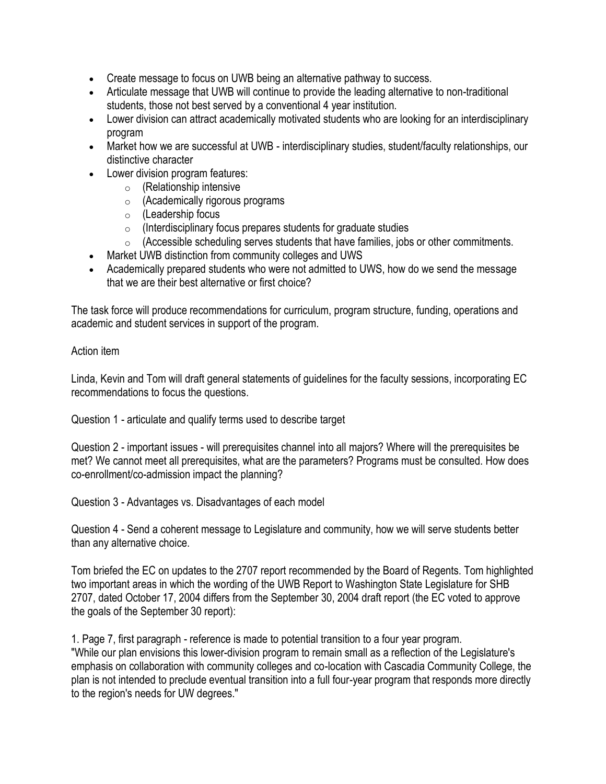- Create message to focus on UWB being an alternative pathway to success.
- Articulate message that UWB will continue to provide the leading alternative to non-traditional students, those not best served by a conventional 4 year institution.
- Lower division can attract academically motivated students who are looking for an interdisciplinary program
- Market how we are successful at UWB interdisciplinary studies, student/faculty relationships, our distinctive character
- Lower division program features:
	- $\circ$  (Relationship intensive
	- o (Academically rigorous programs
	- $\circ$  (Leadership focus
	- $\circ$  (Interdisciplinary focus prepares students for graduate studies
	- $\circ$  (Accessible scheduling serves students that have families, jobs or other commitments.
- Market UWB distinction from community colleges and UWS
- Academically prepared students who were not admitted to UWS, how do we send the message that we are their best alternative or first choice?

The task force will produce recommendations for curriculum, program structure, funding, operations and academic and student services in support of the program.

## Action item

Linda, Kevin and Tom will draft general statements of guidelines for the faculty sessions, incorporating EC recommendations to focus the questions.

Question 1 - articulate and qualify terms used to describe target

Question 2 - important issues - will prerequisites channel into all majors? Where will the prerequisites be met? We cannot meet all prerequisites, what are the parameters? Programs must be consulted. How does co-enrollment/co-admission impact the planning?

Question 3 - Advantages vs. Disadvantages of each model

Question 4 - Send a coherent message to Legislature and community, how we will serve students better than any alternative choice.

Tom briefed the EC on updates to the 2707 report recommended by the Board of Regents. Tom highlighted two important areas in which the wording of the UWB Report to Washington State Legislature for SHB 2707, dated October 17, 2004 differs from the September 30, 2004 draft report (the EC voted to approve the goals of the September 30 report):

1. Page 7, first paragraph - reference is made to potential transition to a four year program. "While our plan envisions this lower-division program to remain small as a reflection of the Legislature's emphasis on collaboration with community colleges and co-location with Cascadia Community College, the plan is not intended to preclude eventual transition into a full four-year program that responds more directly to the region's needs for UW degrees."